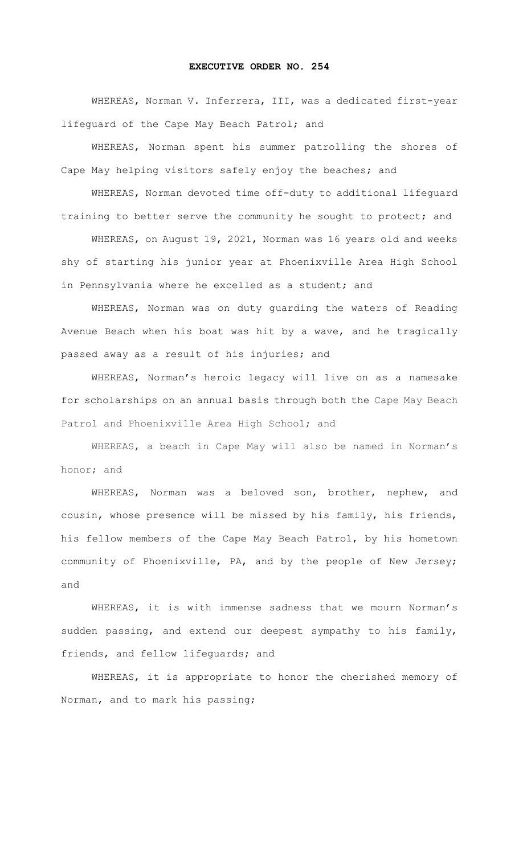## **EXECUTIVE ORDER NO. 254**

WHEREAS, Norman V. Inferrera, III, was a dedicated first-year lifeguard of the Cape May Beach Patrol; and

WHEREAS, Norman spent his summer patrolling the shores of Cape May helping visitors safely enjoy the beaches; and

WHEREAS, Norman devoted time off-duty to additional lifeguard training to better serve the community he sought to protect; and

WHEREAS, on August 19, 2021, Norman was 16 years old and weeks shy of starting his junior year at Phoenixville Area High School in Pennsylvania where he excelled as a student; and

WHEREAS, Norman was on duty guarding the waters of Reading Avenue Beach when his boat was hit by a wave, and he tragically passed away as a result of his injuries; and

WHEREAS, Norman's heroic legacy will live on as a namesake for scholarships on an annual basis through both the Cape May Beach Patrol and Phoenixville Area High School; and

WHEREAS, a beach in Cape May will also be named in Norman's honor; and

WHEREAS, Norman was a beloved son, brother, nephew, and cousin, whose presence will be missed by his family, his friends, his fellow members of the Cape May Beach Patrol, by his hometown community of Phoenixville, PA, and by the people of New Jersey; and

WHEREAS, it is with immense sadness that we mourn Norman's sudden passing, and extend our deepest sympathy to his family, friends, and fellow lifeguards; and

 WHEREAS, it is appropriate to honor the cherished memory of Norman, and to mark his passing;